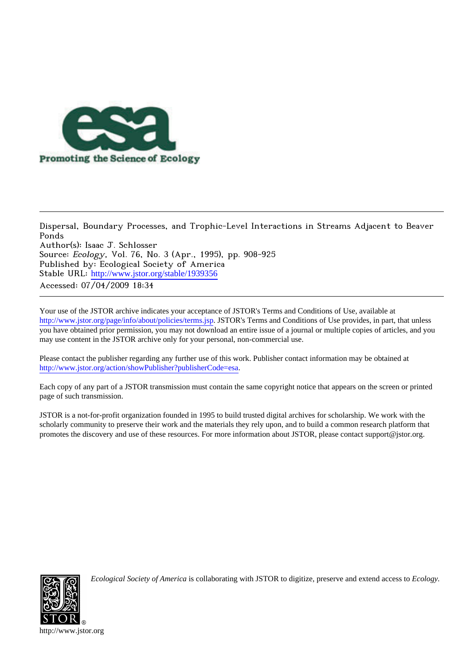

Dispersal, Boundary Processes, and Trophic-Level Interactions in Streams Adjacent to Beaver Ponds Author(s): Isaac J. Schlosser Source: Ecology, Vol. 76, No. 3 (Apr., 1995), pp. 908-925 Published by: Ecological Society of America Stable URL: [http://www.jstor.org/stable/1939356](http://www.jstor.org/stable/1939356?origin=JSTOR-pdf) Accessed: 07/04/2009 18:34

Your use of the JSTOR archive indicates your acceptance of JSTOR's Terms and Conditions of Use, available at <http://www.jstor.org/page/info/about/policies/terms.jsp>. JSTOR's Terms and Conditions of Use provides, in part, that unless you have obtained prior permission, you may not download an entire issue of a journal or multiple copies of articles, and you may use content in the JSTOR archive only for your personal, non-commercial use.

Please contact the publisher regarding any further use of this work. Publisher contact information may be obtained at [http://www.jstor.org/action/showPublisher?publisherCode=esa.](http://www.jstor.org/action/showPublisher?publisherCode=esa)

Each copy of any part of a JSTOR transmission must contain the same copyright notice that appears on the screen or printed page of such transmission.

JSTOR is a not-for-profit organization founded in 1995 to build trusted digital archives for scholarship. We work with the scholarly community to preserve their work and the materials they rely upon, and to build a common research platform that promotes the discovery and use of these resources. For more information about JSTOR, please contact support@jstor.org.



*Ecological Society of America* is collaborating with JSTOR to digitize, preserve and extend access to *Ecology.*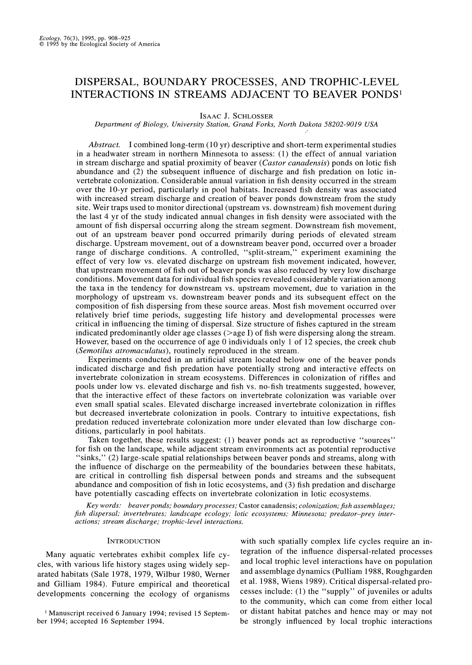# **DISPERSAL, BOUNDARY PROCESSES, AND TROPHIC-LEVEL INTERACTIONS IN STREAMS ADJACENT TO BEAVER PONDS'**

**ISAAC J. SCHLOSSER** 

**Department of Biology, University Station, Grand Forks, North Dakota 58202-9019 USA** 

**Abstract. I combined long-term (10 yr) descriptive and short-term experimental studies in a headwater stream in northern Minnesota to assess: (1) the effect of annual variation in stream discharge and spatial proximity of beaver (Castor canadensis) ponds on lotic fish abundance and (2) the subsequent influence of discharge and fish predation on lotic invertebrate colonization. Considerable annual variation in fish density occurred in the stream over the 10-yr period, particularly in pool habitats. Increased fish density was associated with increased stream discharge and creation of beaver ponds downstream from the study site. Weir traps used to monitor directional (upstream vs. downstream) fish movement during the last 4 yr of the study indicated annual changes in fish density were associated with the amount of fish dispersal occurring along the stream segment. Downstream fish movement, out of an upstream beaver pond occurred primarily during periods of elevated stream discharge. Upstream movement, out of a downstream beaver pond, occurred over a broader range of discharge conditions. A controlled, "split-stream," experiment examining the effect of very low vs. elevated discharge on upstream fish movement indicated, however, that upstream movement of fish out of beaver ponds was also reduced by very low discharge conditions. Movement data for individual fish species revealed considerable variation among the taxa in the tendency for downstream vs. upstream movement, due to variation in the morphology of upstream vs. downstream beaver ponds and its subsequent effect on the composition of fish dispersing from these source areas. Most fish movement occurred over relatively brief time periods, suggesting life history and developmental processes were critical in influencing the timing of dispersal. Size structure of fishes captured in the stream indicated predominantly older age classes (>age I) of fish were dispersing along the stream. However, based on the occurrence of age 0 individuals only 1 of 12 species, the creek chub (Semotilus atromaculatus), routinely reproduced in the stream.** 

**Experiments conducted in an artificial stream located below one of the beaver ponds indicated discharge and fish predation have potentially strong and interactive effects on invertebrate colonization in stream ecosystems. Differences in colonization of riffles and pools under low vs. elevated discharge and fish vs. no-fish treatments suggested, however, that the interactive effect of these factors on invertebrate colonization was variable over even small spatial scales. Elevated discharge increased invertebrate colonization in riffles but decreased invertebrate colonization in pools. Contrary to intuitive expectations, fish predation reduced invertebrate colonization more under elevated than low discharge conditions, particularly in pool habitats.** 

**Taken together, these results suggest: (1) beaver ponds act as reproductive "sources" for fish on the landscape, while adjacent stream environments act as potential reproductive "sinks," (2) large-scale spatial relationships between beaver ponds and streams, along with the influence of discharge on the permeability of the boundaries between these habitats, are critical in controlling fish dispersal between ponds and streams and the subsequent abundance and composition of fish in lotic ecosystems, and (3) fish predation and discharge have potentially cascading effects on invertebrate colonization in lotic ecosystems.** 

**Key words: beaver ponds; boundary processes; Castor canadensis; colonization;fish assemblages; fish dispersal; invertebrates; landscape ecology; lotic ecosystems; Minnesota; predator-prey interactions; stream discharge; trophic-level interactions.** 

#### **INTRODUCTION**

**Many aquatic vertebrates exhibit complex life cycles, with various life history stages using widely separated habitats (Sale 1978, 1979, Wilbur 1980, Werner and Gilliam 1984). Future empirical and theoretical developments concerning the ecology of organisms** 

**<sup>I</sup>Manuscript received 6 January 1994; revised 15 September 1994; accepted 16 September 1994.** 

**with such spatially complex life cycles require an integration of the influence dispersal-related processes and local trophic level interactions have on population and assemblage dynamics (Pulliam 1988, Roughgarden et al. 1988, Wiens 1989). Critical dispersal-related processes include: (1) the "supply" of juveniles or adults to the community, which can come from either local or distant habitat patches and hence may or may not be strongly influenced by local trophic interactions**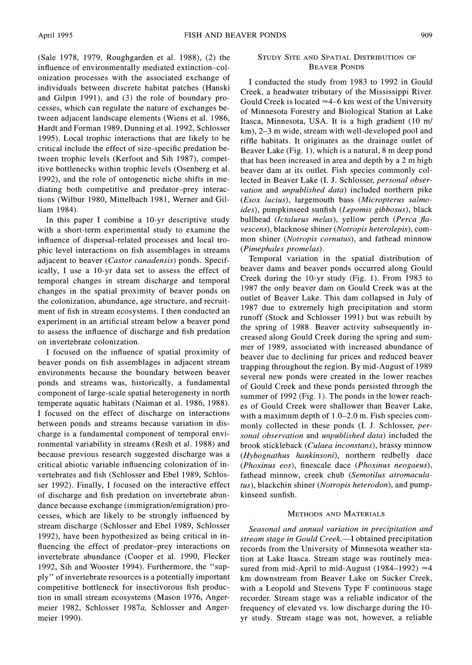**(Sale 1978, 1979, Roughgarden et al. 1988), (2) the influence of environmentally mediated extinction-colonization processes with the associated exchange of individuals between discrete habitat patches (Hanski and Gilpin 1991), and (3) the role of boundary processes, which can regulate the nature of exchanges between adjacent landscape elements (Wiens et al. 1986, Hardt and Forman 1989, Dunning et al. 1992, Schlosser 1995). Local trophic interactions that are likely to be critical include the effect of size-specific predation between trophic levels (Kerfoot and Sih 1987), competitive bottlenecks within trophic levels (Osenberg et al. 1992), and the role of ontogenetic niche shifts in mediating both competitive and predator-prey interactions (Wilbur 1980, Mittelbach 1981, Werner and Gilliam 1984).** 

**In this paper I combine a 10-yr descriptive study with a short-term experimental study to examine the influence of dispersal-related processes and local trophic level interactions on fish assemblages in streams adjacent to beaver (Castor canadensis) ponds. Specifically, I use a 10-yr data set to assess the effect of temporal changes in stream discharge and temporal changes in the spatial proximity of beaver ponds on the colonization, abundance, age structure, and recruitment of fish in stream ecosystems. I then conducted an experiment in an artificial stream below a beaver pond to assess the influence of discharge and fish predation on invertebrate colonization.** 

**I focused on the influence of spatial proximity of beaver ponds on fish assemblages in adjacent stream environments because the boundary between beaver ponds and streams was, historically, a fundamental component of large-scale spatial heterogeneity in north temperate aquatic habitats (Naiman et al. 1986, 1988). I focused on the effect of discharge on interactions between ponds and streams because variation in discharge is a fundamental component of temporal environmental variability in streams (Resh et al. 1988) and because previous research suggested discharge was a critical abiotic variable influencing colonization of invertebrates and fish (Schlosser and Ebel 1989, Schlosser 1992). Finally, I focused on the interactive effect of discharge and fish predation on invertebrate abundance because exchange (immigration/emigration) processes, which are likely to be strongly influenced by stream discharge (Schlosser and Ebel 1989, Schlosser 1992), have been hypothesized as being critical in influencing the effect of predator-prey interactions on invertebrate abundance (Cooper et al. 1990, Flecker 1992, Sih and Wooster 1994). Furthermore, the "supply" of invertebrate resources is a potentially important competitive bottleneck for insectivorous fish production in small stream ecosystems (Mason 1976, Angermeier 1982, Schlosser 1987a, Schlosser and Angermeier 1990).** 

#### **STUDY SITE AND SPATIAL DISTRIBUTION OF BEAVER PONDS**

**I conducted the study from 1983 to 1992 in Gould Creek, a headwater tributary of the Mississippi River.**  Gould Creek is located  $\approx$  4–6 km west of the University **of Minnesota Forestry and Biological Station at Lake Itasca, Minnesota, USA. It is a high gradient (10 m/ km), 2-3 m wide, stream with well-developed pool and riffle habitats. It originates as the drainage outlet of Beaver Lake (Fig. 1), which is a natural, 8 m deep pond that has been increased in area and depth by a 2 m high beaver dam at its outlet. Fish species commonly collected in Beaver Lake (I. J. Schlosser, personal observation and unpublished data) included northern pike (Esox lucius), largemouth bass (Micropterus salmoides), pumpkinseed sunfish (Lepomis gibbosus), black bullhead (Ictalurus melas), yellow perch (Perca flavescens), blacknose shiner (Notropis heterolepis), common shiner (Notropis cornutus), and fathead minnow (Pimephales promelas).** 

**Temporal variation in the spatial distribution of beaver dams and beaver ponds occurred along Gould Creek during the 10-yr study (Fig. 1). From 1983 to 1987 the only beaver dam on Gould Creek was at the outlet of Beaver Lake. This dam collapsed in July of 1987 due to extremely high precipitation and storm runoff (Stock and Schlosser 1991) but was rebuilt by the spring of 1988. Beaver activity subsequently increased along Gould Creek during the spring and summer of 1989, associated with increased abundance of beaver due to declining fur prices and reduced beaver trapping throughout the region. By mid-August of 1989 several new ponds were created in the lower reaches of Gould Creek and these ponds persisted through the summer of 1992 (Fig. 1). The ponds in the lower reaches of Gould Creek were shallower than Beaver Lake,**  with a maximum depth of 1.0–2.0 m. Fish species com**monly collected in these ponds (I. J. Schlosser, personal observation and unpublished data) included the brook stickleback (Culaea inconstans), brassy minnow (Hybognathus hankinsoni), northern redbelly dace (Phoxinus eos), finescale dace (Phoxinus neogaeus), fathead minnow, creek chub (Semotilus atromaculatus), blackchin shiner (Notropis heterodon), and pumpkinseed sunfish.** 

#### **METHODS AND MATERIALS**

**Seasonal and annual variation in precipitation and**  stream stage in Gould Creek.—I obtained precipitation **records from the University of Minnesota weather station at Lake Itasca. Stream stage was routinely mea**sured from mid-April to mid-August (1984–1992)  $\approx$  4 **km downstream from Beaver Lake on Sucker Creek, with a Leopold and Stevens Type F continuous stage recorder. Stream stage was a reliable indicator of the frequency of elevated vs. low discharge during the 10 yr study. Stream stage was not, however, a reliable**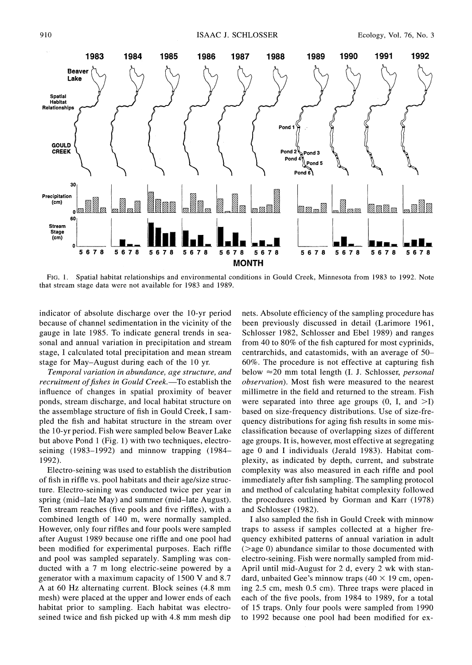

**FIG. 1. Spatial habitat relationships and environmental conditions in Gould Creek, Minnesota from 1983 to 1992. Note that stream stage data were not available for 1983 and 1989.** 

**indicator of absolute discharge over the 10-yr period because of channel sedimentation in the vicinity of the gauge in late 1985. To indicate general trends in seasonal and annual variation in precipitation and stream stage, I calculated total precipitation and mean stream stage for May-August during each of the 10 yr.** 

**Temporal variation in abundance, age structure, and**  recruitment of fishes in Gould Creek.—To establish the **influence of changes in spatial proximity of beaver ponds, stream discharge, and local habitat structure on the assemblage structure of fish in Gould Creek, I sampled the fish and habitat structure in the stream over the 1 0-yr period. Fish were sampled below Beaver Lake but above Pond 1 (Fig. 1) with two techniques, electroseining (1983-1992) and minnow trapping (1984- 1992).** 

**Electro-seining was used to establish the distribution of fish in riffle vs. pool habitats and their age/size structure. Electro-seining was conducted twice per year in spring (mid-late May) and summer (mid-late August). Ten stream reaches (five pools and five riffles), with a combined length of 140 m, were normally sampled. However, only four riffles and four pools were sampled after August 1989 because one riffle and one pool had been modified for experimental purposes. Each riffle and pool was sampled separately. Sampling was conducted with a 7 m long electric-seine powered by a generator with a maximum capacity of 1500 V and 8.7 A at 60 Hz alternating current. Block seines (4.8 mm mesh) were placed at the upper and lower ends of each habitat prior to sampling. Each habitat was electroseined twice and fish picked up with 4.8 mm mesh dip** 

**nets. Absolute efficiency of the sampling procedure has been previously discussed in detail (Larimore 1961, Schlosser 1982, Schlosser and Ebel 1989) and ranges from 40 to 80% of the fish captured for most cyprinids, centrarchids, and catastomids, with an average of 50- 60%. The procedure is not effective at capturing fish below -20 mm total length (I. J. Schlosser, personal observation). Most fish were measured to the nearest millimetre in the field and returned to the stream. Fish**  were separated into three age groups  $(0, I, and >1)$ **based on size-frequency distributions. Use of size-frequency distributions for aging fish results in some misclassification because of overlapping sizes of different age groups. It is, however, most effective at segregating age 0 and I individuals (Jerald 1983). Habitat complexity, as indicated by depth, current, and substrate complexity was also measured in each riffle and pool immediately after fish sampling. The sampling protocol and method of calculating habitat complexity followed the procedures outlined by Gorman and Karr (1978) and Schlosser (1982).** 

**I also sampled the fish in Gould Creek with minnow traps to assess if samples collected at a higher frequency exhibited patterns of annual variation in adult (>age 0) abundance similar to those documented with electro-seining. Fish were normally sampled from mid-April until mid-August for 2 d, every 2 wk with stan**dard, unbaited Gee's minnow traps  $(40 \times 19 \text{ cm}, \text{ open}$ **ing 2.5 cm, mesh 0.5 cm). Three traps were placed in each of the five pools, from 1984 to 1989, for a total of 15 traps. Only four pools were sampled from 1990 to 1992 because one pool had been modified for ex-**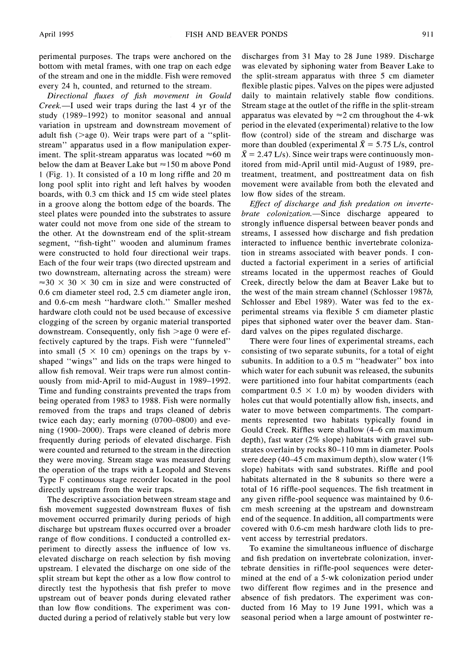**perimental purposes. The traps were anchored on the bottom with metal frames, with one trap on each edge of the stream and one in the middle. Fish were removed every 24 h, counted, and returned to the stream.** 

**Directional fluxes of fish movement in Gould**  Creek.—I used weir traps during the last 4 yr of the **study (1989-1992) to monitor seasonal and annual variation in upstream and downstream movement of adult fish (>age 0). Weir traps were part of a "splitstream" apparatus used in a flow manipulation exper**iment. The split-stream apparatus was located  $\approx 60$  m below the dam at Beaver Lake but  $\approx$  150 m above Pond **1 (Fig. 1). It consisted of a 10 m long riffle and 20 m long pool split into right and left halves by wooden boards, with 0.3 cm thick and 15 cm wide steel plates in a groove along the bottom edge of the boards. The steel plates were pounded into the substrates to assure water could not move from one side of the stream to the other. At the downstream end of the split-stream segment, "fish-tight" wooden and aluminum frames were constructed to hold four directional weir traps. Each of the four weir traps (two directed upstream and two downstream, alternating across the stream) were**   $\approx$  30  $\times$  30  $\times$  30 cm in size and were constructed of **0.6 cm diameter steel rod, 2.5 cm diameter angle iron, and 0.6-cm mesh "hardware cloth." Smaller meshed hardware cloth could not be used because of excessive clogging of the screen by organic material transported downstream. Consequently, only fish >age 0 were effectively captured by the traps. Fish were "funneled"**  into small  $(5 \times 10 \text{ cm})$  openings on the traps by v**shaped "wings" and lids on the traps were hinged to allow fish removal. Weir traps were run almost continuously from mid-April to mid-August in 1989-1992. Time and funding constraints prevented the traps from being operated from 1983 to 1988. Fish were normally removed from the traps and traps cleaned of debris twice each day; early morning (0700-0800) and evening (1900-2000). Traps were cleaned of debris more frequently during periods of elevated discharge. Fish were counted and returned to the stream in the direction they were moving. Stream stage was measured during the operation of the traps with a Leopold and Stevens Type F continuous stage recorder located in the pool directly upstream from the weir traps.** 

**The descriptive association between stream stage and fish movement suggested downstream fluxes of fish movement occurred primarily during periods of high discharge but upstream fluxes occurred over a broader range of flow conditions. I conducted a controlled experiment to directly assess the influence of low vs. elevated discharge on reach selection by fish moving upstream. I elevated the discharge on one side of the split stream but kept the other as a low flow control to directly test the hypothesis that fish prefer to move upstream out of beaver ponds during elevated rather than low flow conditions. The experiment was conducted during a period of relatively stable but very low** 

**discharges from 31 May to 28 June 1989. Discharge was elevated by siphoning water from Beaver Lake to the split-stream apparatus with three 5 cm diameter flexible plastic pipes. Valves on the pipes were adjusted daily to maintain relatively stable flow conditions. Stream stage at the outlet of the riffle in the split-stream**  apparatus was elevated by  $\approx$  2 cm throughout the 4-wk **period in the elevated (experimental) relative to the low flow (control) side of the stream and discharge was**  more than doubled (experimental  $\bar{X} = 5.75$  L/s, control  $\bar{X} = 2.47$  L/s). Since weir traps were continuously mon**itored from mid-April until mid-August of 1989, pretreatment, treatment, and posttreatment data on fish movement were available from both the elevated and low flow sides of the stream.** 

**Effect of discharge and fish predation on invertebrate colonization.-Since discharge appeared to strongly influence dispersal between beaver ponds and streams, I assessed how discharge and fish predation interacted to influence benthic invertebrate colonization in streams associated with beaver ponds. I conducted a factorial experiment in a series of artificial streams located in the uppermost reaches of Gould Creek, directly below the dam at Beaver Lake but to the west of the main stream channel (Schlosser 1987b, Schlosser and Ebel 1989). Water was fed to the experimental streams via flexible 5 cm diameter plastic pipes that siphoned water over the beaver dam. Standard valves on the pipes regulated discharge.** 

**There were four lines of experimental streams, each consisting of two separate subunits, for a total of eight subunits. In addition to a 0.5 m "headwater" box into which water for each subunit was released, the subunits were partitioned into four habitat compartments (each**  compartment  $0.5 \times 1.0$  m) by wooden dividers with **holes cut that would potentially allow fish, insects, and water to move between compartments. The compartments represented two habitats typically found in Gould Creek. Riffles were shallow (4-6 cm maximum depth), fast water (2% slope) habitats with gravel substrates overlain by rocks 80-110 mm in diameter. Pools were deep (40-45 cm maximum depth), slow water (1 % slope) habitats with sand substrates. Riffle and pool habitats alternated in the 8 subunits so there were a total of 16 riffle-pool sequences. The fish treatment in any given riffle-pool sequence was maintained by 0.6 cm mesh screening at the upstream and downstream end of the sequence. In addition, all compartments were covered with 0.6-cm mesh hardware cloth lids to prevent access by terrestrial predators.** 

**To examine the simultaneous influence of discharge and fish predation on invertebrate colonization, invertebrate densities in riffle-pool sequences were determined at the end of a 5-wk colonization period under two different flow regimes and in the presence and absence of fish predators. The experiment was conducted from 16 May to 19 June 1991, which was a seasonal period when a large amount of postwinter re-**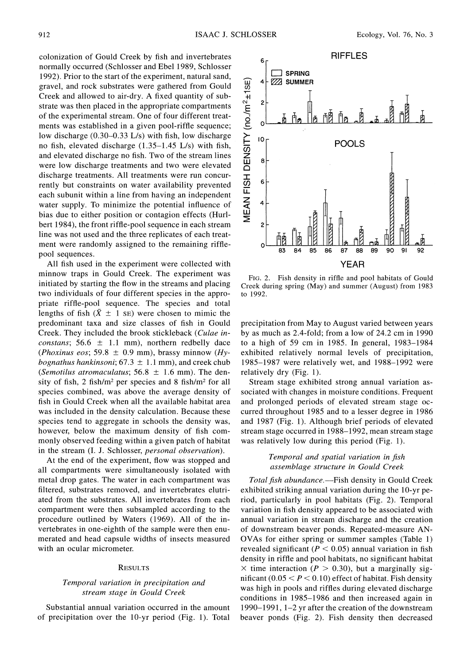**colonization of Gould Creek by fish and invertebrates normally occurred (Schlosser and Ebel 1989, Schlosser 1992). Prior to the start of the experiment, natural sand, gravel, and rock substrates were gathered from Gould Creek and allowed to air-dry. A fixed quantity of substrate was then placed in the appropriate compartments of the experimental stream. One of four different treatments was established in a given pool-riffle sequence; low discharge (0.30-0.33 L/s) with fish, low discharge no fish, elevated discharge (1.35-1.45 L/s) with fish, and elevated discharge no fish. Two of the stream lines were low discharge treatments and two were elevated discharge treatments. All treatments were run concurrently but constraints on water availability prevented each subunit within a line from having an independent water supply. To minimize the potential influence of bias due to either position or contagion effects (Hurlbert 1984), the front riffle-pool sequence in each stream line was not used and the three replicates of each treatment were randomly assigned to the remaining rifflepool sequences.** 

**All fish used in the experiment were collected with minnow traps in Gould Creek. The experiment was initiated by starting the flow in the streams and placing two individuals of four different species in the appropriate riffle-pool sequence. The species and total**  lengths of fish  $(\bar{X} \pm 1 \text{ s})$  were chosen to mimic the **predominant taxa and size classes of fish in Gould Creek. They included the brook stickleback (Culae in***constans*;  $56.6 \pm 1.1 \text{ mm}$ , northern redbelly dace (*Phoxinus eos*; 59.8  $\pm$  0.9 mm), brassy minnow (*Hybognathus hankinsoni*;  $67.3 \pm 1.1$  mm), and creek chub (*Semotilus atromaculatus*;  $56.8 \pm 1.6$  mm). The den**sity of fish, 2 fish/M2 per species and 8 fish/M2 for all species combined, was above the average density of fish in Gould Creek when all the available habitat area was included in the density calculation. Because these species tend to aggregate in schools the density was, however, below the maximum density of fish commonly observed feeding within a given patch of habitat in the stream (I. J. Schlosser, personal observation).** 

**At the end of the experiment, flow was stopped and all compartments were simultaneously isolated with metal drop gates. The water in each compartment was filtered, substrates removed, and invertebrates elutriated from the substrates. All invertebrates from each compartment were then subsampled according to the procedure outlined by Waters (1969). All of the invertebrates in one-eighth of the sample were then enumerated and head capsule widths of insects measured with an ocular micrometer.** 

#### **RESULTS**

### **Temporal variation in precipitation and stream stage in Gould Creek**

**Substantial annual variation occurred in the amount of precipitation over the 10-yr period (Fig. 1). Total** 



**FIG. 2. Fish density in riffle and pool habitats of Gould Creek during spring (May) and summer (August) from 1983 to 1992.** 

**precipitation from May to August varied between years by as much as 2.4-fold; from a low of 24.2 cm in 1990 to a high of 59 cm in 1985. In general, 1983-1984 exhibited relatively normal levels of precipitation, 1985-1987 were relatively wet, and 1988-1992 were relatively dry (Fig. 1).** 

**Stream stage exhibited strong annual variation associated with changes in moisture conditions. Frequent and prolonged periods of elevated stream stage occurred throughout 1985 and to a lesser degree in 1986 and 1987 (Fig. 1). Although brief periods of elevated stream stage occurred in 1988-1992, mean stream stage was relatively low during this period (Fig. 1).** 

#### **Temporal and spatial variation in fish assemblage structure in Gould Creek**

**Total fish abundance.-Fish density in Gould Creek exhibited striking annual variation during the 10-yr period, particularly in pool habitats (Fig. 2). Temporal variation in fish density appeared to be associated with annual variation in stream discharge and the creation of downstream beaver ponds. Repeated-measure AN-OVAs for either spring or summer samples (Table 1) revealed significant (P < 0.05) annual variation in fish density in riffle and pool habitats, no significant habitat**   $\times$  time interaction ( $P > 0.30$ ), but a marginally significant  $(0.05 < P < 0.10)$  effect of habitat. Fish density **was high in pools and riffles during elevated discharge conditions in 1985-1986 and then increased again in 1990-1991, 1-2 yr after the creation of the downstream beaver ponds (Fig. 2). Fish density then decreased**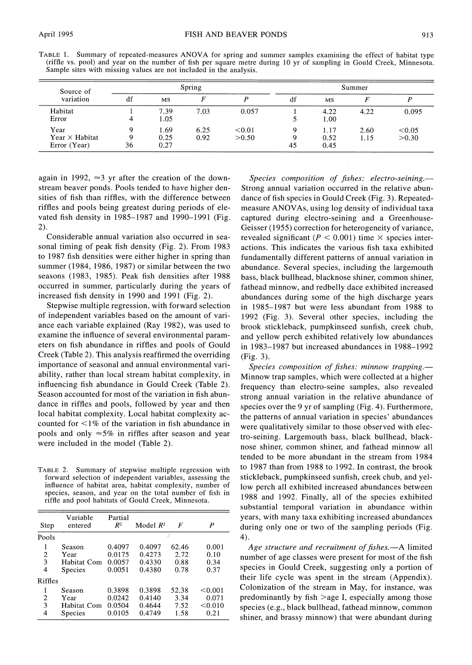| Sample sites with missing values are not included in the analysis. |  | TABLE 1. Summary of repeated-measures ANOVA for spring and summer samples examining the effect of habitat type<br>(riffle vs. pool) and year on the number of fish per square metre during 10 yr of sampling in Gould Creek, Minnesota. |
|--------------------------------------------------------------------|--|-----------------------------------------------------------------------------------------------------------------------------------------------------------------------------------------------------------------------------------------|
| Spring<br>Summer<br>Source of                                      |  |                                                                                                                                                                                                                                         |

| Source of             |    |           | Spring |        | Summer |      |      |        |  |  |
|-----------------------|----|-----------|--------|--------|--------|------|------|--------|--|--|
| variation             | df | <b>MS</b> |        |        | df     | MS   |      |        |  |  |
| Habitat               |    | 7.39      | 7.03   | 0.057  |        | 4.22 | 4.22 | 0.095  |  |  |
| Error                 | 4  | 1.05      |        |        |        | 1.00 |      |        |  |  |
| Year                  |    | 1.69      | 6.25   | < 0.01 | a      | 1.17 | 2.60 | < 0.05 |  |  |
| Year $\times$ Habitat |    | 0.25      | 0.92   | >0.50  | 9      | 0.52 | 1.15 | >0.30  |  |  |
| Error (Year)          | 36 | 0.27      |        |        | 45     | 0.45 |      |        |  |  |

again in 1992,  $\approx$ 3 yr after the creation of the down**stream beaver ponds. Pools tended to have higher densities of fish than riffles, with the difference between riffles and pools being greatest during periods of elevated fish density in 1985-1987 and 1990-1991 (Fig. 2).** 

**Considerable annual variation also occurred in seasonal timing of peak fish density (Fig. 2). From 1983 to 1987 fish densities were either higher in spring than summer (1984, 1986, 1987) or similar between the two seasons (1983, 1985). Peak fish densities after 1988 occurred in summer, particularly during the years of increased fish density in 1990 and 1991 (Fig. 2).** 

**Stepwise multiple regression, with forward selection of independent variables based on the amount of variance each variable explained (Ray 1982), was used to examine the influence of several environmental parameters on fish abundance in riffles and pools of Gould Creek (Table 2). This analysis reaffirmed the overriding importance of seasonal and annual environmental variability, rather than local stream habitat complexity, in influencing fish abundance in Gould Creek (Table 2). Season accounted for most of the variation in fish abundance in riffles and pools, followed by year and then local habitat complexity. Local habitat complexity accounted for <1 % of the variation in fish abundance in**  pools and only  $\approx$  5% in riffles after season and year **were included in the model (Table 2).** 

**TABLE 2. Summary of stepwise multiple regression with forward selection of independent variables, assessing the influence of habitat area, habitat complexity, number of species, season, and year on the total number of fish in riffle and pool habitats of Gould Creek, Minnesota.** 

| Step        | Variable<br>entered                             | Partial<br>R <sup>2</sup>            | Model $R^2$                          | F                             | P                                   |
|-------------|-------------------------------------------------|--------------------------------------|--------------------------------------|-------------------------------|-------------------------------------|
| Pools       |                                                 |                                      |                                      |                               |                                     |
| 2<br>3<br>4 | Season<br>Year<br>Habitat Com<br>Species        | 0.4097<br>0.0175<br>0.0057<br>0.0051 | 0.4097<br>0.4273<br>0.4330<br>0.4380 | 62.46<br>2.72<br>0.88<br>0.78 | 0.001<br>0.10<br>0.34<br>0.37       |
| Riffles     |                                                 |                                      |                                      |                               |                                     |
| 2<br>3<br>4 | Season<br>Year<br>Habitat Com<br><b>Species</b> | 0.3898<br>0.0242<br>0.0504<br>0.0105 | 0.3898<br>0.4140<br>0.4644<br>0.4749 | 52.38<br>3.34<br>7.52<br>1.58 | < 0.001<br>0.071<br>< 0.010<br>0.21 |

Species composition of fishes: electro-seining.— **Strong annual variation occurred in the relative abundance of fish species in Gould Creek (Fig. 3). Repeatedmeasure ANOVAs, using log density of individual taxa captured during electro-seining and a Greenhouse-Geisser (1955) correction for heterogeneity of variance,**  revealed significant ( $P < 0.001$ ) time  $\times$  species inter**actions. This indicates the various fish taxa exhibited fundamentally different patterns of annual variation in abundance. Several species, including the largemouth bass, black bullhead, blacknose shiner, common shiner, fathead minnow, and redbelly dace exhibited increased abundances during some of the high discharge years in 1985-1987 but were less abundant from 1988 to 1992 (Fig. 3). Several other species, including the brook stickleback, pumpkinseed sunfish, creek chub, and yellow perch exhibited relatively low abundances in 1983-1987 but increased abundances in 1988-1992 (Fig. 3).** 

Species composition of fishes: minnow trapping.-**Minnow trap samples, which were collected at a higher frequency than electro-seine samples, also revealed strong annual variation in the relative abundance of species over the 9 yr of sampling (Fig. 4). Furthermore, the patterns of annual variation in species' abundances were qualitatively similar to those observed with electro-seining. Largemouth bass, black bullhead, blacknose shiner, common shiner, and fathead minnow all tended to be more abundant in the stream from 1984 to 1987 than from 1988 to 1992. In contrast, the brook stickleback, pumpkinseed sunfish, creek chub, and yellow perch all exhibited increased abundances between 1988 and 1992. Finally, all of the species exhibited substantial temporal variation in abundance within years, with many taxa exhibiting increased abundances during only one or two of the sampling periods (Fig. 4).** 

Age structure and recruitment of fishes.—A limited **number of age classes were present for most of the fish species in Gould Creek, suggesting only a portion of their life cycle was spent in the stream (Appendix). Colonization of the stream in May, for instance, was predominantly by fish >age I, especially among those species (e.g., black bullhead, fathead minnow, common shiner, and brassy minnow) that were abundant during**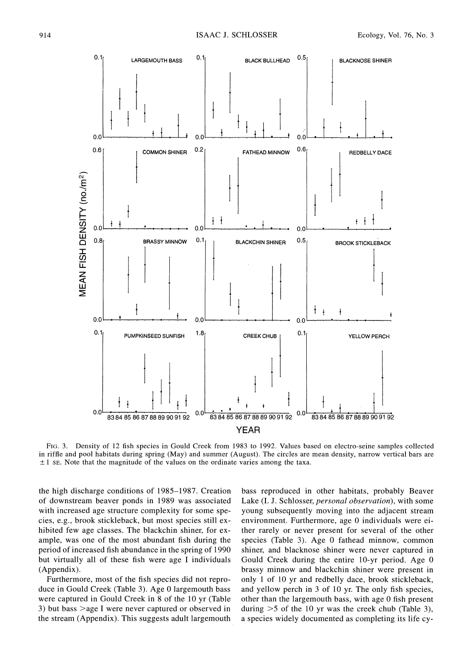

**FIG. 3. Density of 12 fish species in Gould Creek from 1983 to 1992. Values based on electro-seine samples collected in riffle and pool habitats during spring (May) and summer (August). The circles are mean density, narrow vertical bars are**   $\pm 1$  SE. Note that the magnitude of the values on the ordinate varies among the taxa.

**the high discharge conditions of 1985-1987. Creation of downstream beaver ponds in 1989 was associated with increased age structure complexity for some species, e.g., brook stickleback, but most species still exhibited few age classes. The blackchin shiner, for example, was one of the most abundant fish during the period of increased fish abundance in the spring of 1990 but virtually all of these fish were age I individuals (Appendix).** 

**Furthermore, most of the fish species did not reproduce in Gould Creek (Table 3). Age 0 largemouth bass were captured in Gould Creek in 8 of the 10 yr (Table 3) but bass >age I were never captured or observed in the stream (Appendix). This suggests adult largemouth**  **bass reproduced in other habitats, probably Beaver Lake (I. J. Schlosser, personal observation), with some young subsequently moving into the adjacent stream environment. Furthermore, age 0 individuals were either rarely or never present for several of the other species (Table 3). Age 0 fathead minnow, common shiner, and blacknose shiner were never captured in Gould Creek during the entire 10-yr period. Age 0 brassy minnow and blackchin shiner were present in only 1 of 10 yr and redbelly dace, brook stickleback, and yellow perch in 3 of 10 yr. The only fish species, other than the largemouth bass, with age 0 fish present during >5 of the 10 yr was the creek chub (Table 3), a species widely documented as completing its life cy-**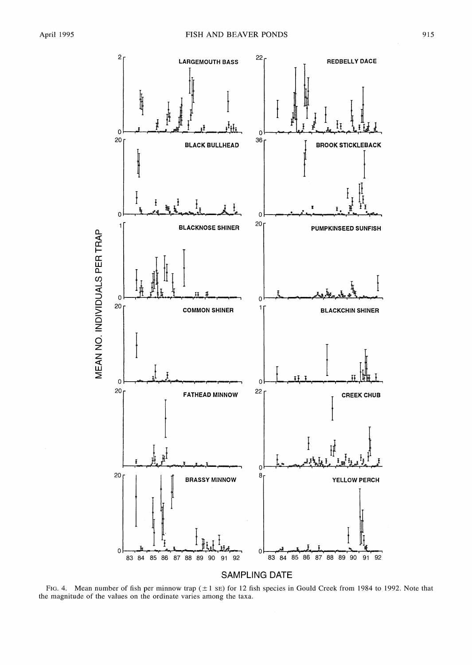

**SAMPLING DATE** 

FIG. 4. Mean number of fish per minnow trap  $(\pm 1 \text{ s})$  for 12 fish species in Gould Creek from 1984 to 1992. Note that the magnitude of the values on the ordinate varies among the taxa.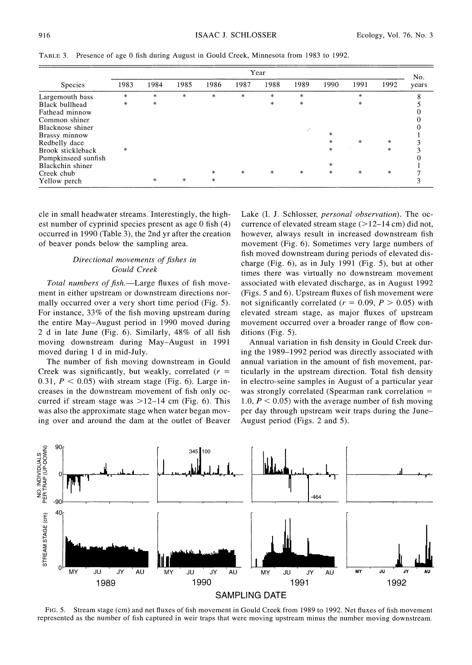|                     | Year   |        |        |        |        |        |        |        |         | No.    |       |
|---------------------|--------|--------|--------|--------|--------|--------|--------|--------|---------|--------|-------|
| <b>Species</b>      | 1983   | 1984   | 1985   | 1986   | 1987   | 1988   | 1989   | 1990   | 1991    | 1992   | years |
| Largemouth bass     | $\ast$ | $\ast$ | $\ast$ | $\ast$ | $\ast$ | $\ast$ | $\ast$ |        | $\ast$  |        | 8     |
| Black bullhead      | $\ast$ | $\ast$ |        |        |        | $\ast$ | $\ast$ |        | $\ast$  |        |       |
| Fathead minnow      |        |        |        |        |        |        |        |        |         |        |       |
| Common shiner       |        |        |        |        |        |        |        |        |         |        |       |
| Blacknose shiner    |        |        |        |        |        |        |        |        |         |        |       |
| Brassy minnow       |        |        |        |        |        |        |        | $\ast$ |         |        |       |
| Redbelly dace       |        |        |        |        |        |        |        | *      | $\ast$  | *      |       |
| Brook stickleback   | $\ast$ |        |        |        |        |        |        | $\ast$ |         | $\ast$ |       |
| Pumpkinseed sunfish |        |        |        |        |        |        |        |        |         |        |       |
| Blackchin shiner    |        |        |        |        |        |        |        | *      |         |        |       |
| Creek chub          |        |        |        | $\ast$ | $*$    | $\ast$ | *      | $\ast$ | $\star$ | $\ast$ |       |
| Yellow perch        |        | $\ast$ | $\ast$ | $\ast$ |        |        |        |        |         |        |       |

**TABLE 3. Presence of age 0 fish during August in Gould Creek, Minnesota from 1983 to 1992.** 

**cle in small headwater streams. Interestingly, the highest number of cyprinid species present as age 0 fish (4) occurred in 1990 (Table 3), the 2nd yr after the creation of beaver ponds below the sampling area.** 

# **Directional movements of fishes in Gould Creek**

Total numbers of fish.-Large fluxes of fish move**ment in either upstream or downstream directions normally occurred over a very short time period (Fig. 5). For instance, 33% of the fish moving upstream during the entire May-August period in 1990 moved during 2 d in late June (Fig. 6). Similarly, 48% of all fish moving downstream during May-August in 1991 moved during 1 d in mid-July.** 

**The number of fish moving downstream in Gould Creek was significantly, but weakly, correlated (r =**  0.31,  $P < 0.05$ ) with stream stage (Fig. 6). Large in**creases in the downstream movement of fish only occurred if stream stage was >12-14 cm (Fig. 6). This was also the approximate stage when water began moving over and around the dam at the outlet of Beaver** 

**Lake (I. J. Schlosser, personal observation). The occurrence of elevated stream stage (>12-14 cm) did not, however, always result in increased downstream fish movement (Fig. 6). Sometimes very large numbers of fish moved downstream during periods of elevated discharge (Fig. 6), as in July 1991 (Fig. 5), but at other times there was virtually no downstream movement associated with elevated discharge, as in August 1992 (Figs. 5 and 6). Upstream fluxes of fish movement were**  not significantly correlated ( $r = 0.09$ ,  $P > 0.05$ ) with **elevated stream stage, as major fluxes of upstream movement occurred over a broader range of flow conditions (Fig. 5).** 

**Annual variation in fish density in Gould Creek during the 1989-1992 period was directly associated with annual variation in the amount of fish movement, particularly in the upstream direction. Total fish density in electro-seine samples in August of a particular year was strongly correlated (Spearman rank correlation = 1.0, P < 0.05) with the average number of fish moving per day through upstream weir traps during the June-August period (Figs. 2 and 5).** 



**FIG. 5. Stream stage (cm) and net fluxes of fish movement in Gould Creek from 1989 to 1992. Net fluxes of fish movement represented as the number of fish captured in weir traps that were moving upstream minus the number moving downstream.**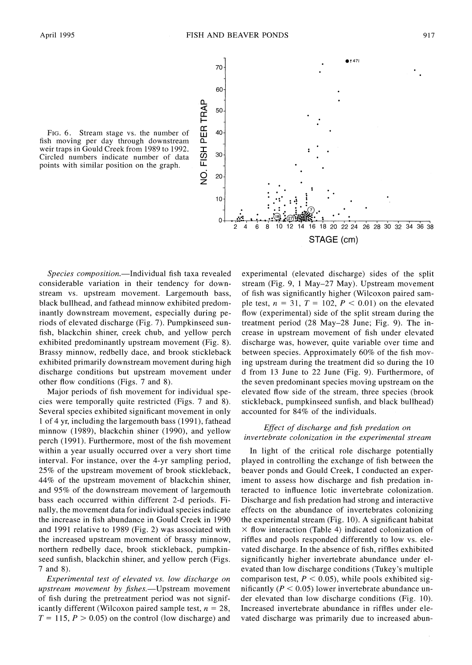FIG. 6. Stream stage vs. the number of  $\frac{1}{111}$  40 fish moving per day through downstream weir traps in Gould Creek from 1989 to 1992. Circled numbers indicate number of data  $\overline{\omega}$  <sup>30</sup> **points with similar position on the graph.** 



Species composition.-Individual fish taxa revealed **considerable variation in their tendency for downstream vs. upstream movement. Largemouth bass, black bullhead, and fathead minnow exhibited predominantly downstream movement, especially during periods of elevated discharge (Fig. 7). Pumpkinseed sunfish, blackchin shiner, creek chub, and yellow perch exhibited predominantly upstream movement (Fig. 8). Brassy minnow, redbelly dace, and brook stickleback exhibited primarily downstream movement during high discharge conditions but upstream movement under other flow conditions (Figs. 7 and 8).** 

**Major periods of fish movement for individual species were temporally quite restricted (Figs. 7 and 8). Several species exhibited significant movement in only 1 of 4 yr, including the largemouth bass (1991), fathead minnow (1989), blackchin shiner (1990), and yellow perch (1991). Furthermore, most of the fish movement within a year usually occurred over a very short time interval. For instance, over the 4-yr sampling period, 25% of the upstream movement of brook stickleback, 44% of the upstream movement of blackchin shiner, and 95% of the downstream movement of largemouth bass each occurred within different 2-d periods. Finally, the movement data for individual species indicate the increase in fish abundance in Gould Creek in 1990 and 1991 relative to 1989 (Fig. 2) was associated with the increased upstream movement of brassy minnow, northern redbelly dace, brook stickleback, pumpkinseed sunfish, blackchin shiner, and yellow perch (Figs. 7 and 8).** 

**Experimental test of elevated vs. low discharge on**  upstream movement by fishes.—Upstream movement **of fish during the pretreatment period was not signif**icantly different (Wilcoxon paired sample test,  $n = 28$ ,  $T = 115$ ,  $P > 0.05$ ) on the control (low discharge) and

**experimental (elevated discharge) sides of the split stream (Fig. 9, 1 May-27 May). Upstream movement of fish was significantly higher (Wilcoxon paired sam**ple test,  $n = 31$ ,  $T = 102$ ,  $P < 0.01$ ) on the elevated **flow (experimental) side of the split stream during the treatment period (28 May-28 June; Fig. 9). The increase in upstream movement of fish under elevated discharge was, however, quite variable over time and between species. Approximately 60% of the fish moving upstream during the treatment did so during the 10 d from 13 June to 22 June (Fig. 9). Furthermore, of the seven predominant species moving upstream on the elevated flow side of the stream, three species (brook stickleback, pumpkinseed sunfish, and black bullhead) accounted for 84% of the individuals.** 

### **Effect of discharge and fish predation on invertebrate colonization in the experimental stream**

**In light of the critical role discharge potentially played in controlling the exchange of fish between the beaver ponds and Gould Creek, I conducted an experiment to assess how discharge and fish predation interacted to influence lotic invertebrate colonization. Discharge and fish predation had strong and interactive effects on the abundance of invertebrates colonizing the experimental stream (Fig. 10). A significant habitat X flow interaction (Table 4) indicated colonization of riffles and pools responded differently to low vs. elevated discharge. In the absence of fish, riffles exhibited significantly higher invertebrate abundance under elevated than low discharge conditions (Tukey's multiple**  comparison test,  $P < 0.05$ ), while pools exhibited significantly ( $P < 0.05$ ) lower invertebrate abundance un**der elevated than low discharge conditions (Fig. 10). Increased invertebrate abundance in riffles under elevated discharge was primarily due to increased abun-**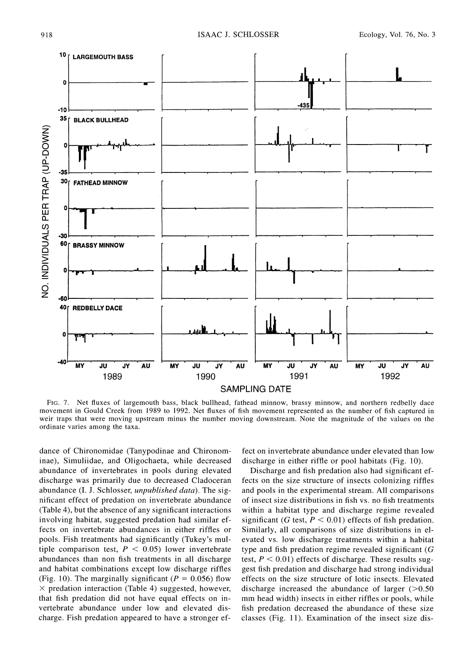

**FIG. 7. Net fluxes of largemouth bass, black bullhead, fathead minnow, brassy minnow, and northern redbelly dace movement in Gould Creek from 1989 to 1992. Net fluxes of fish movement represented as the number of fish captured in**  weir traps that were moving upstream minus the number moving downstream. Note the magnitude of the values on the **ordinate varies among the taxa.** 

**dance of Chironomidae (Tanypodinae and Chironominae), Simuliidae, and Oligochaeta, while decreased abundance of invertebrates in pools during elevated discharge was primarily due to decreased Cladoceran abundance (I. J. Schlosser, unpublished data). The significant effect of predation on invertebrate abundance (Table 4), but the absence of any significant interactions involving habitat, suggested predation had similar effects on invertebrate abundances in either riffles or pools. Fish treatments had significantly (Tukey's mul**tiple comparison test,  $P < 0.05$ ) lower invertebrate **abundances than non fish treatments in all discharge and habitat combinations except low discharge riffles**  (Fig. 10). The marginally significant ( $P = 0.056$ ) flow **X predation interaction (Table 4) suggested, however, that fish predation did not have equal effects on invertebrate abundance under low and elevated discharge. Fish predation appeared to have a stronger ef-** **fect on invertebrate abundance under elevated than low discharge in either riffle or pool habitats (Fig. 10).** 

**Discharge and fish predation also had significant effects on the size structure of insects colonizing riffles and pools in the experimental stream. All comparisons of insect size distributions in fish vs. no fish treatments within a habitat type and discharge regime revealed**  significant (G test,  $P < 0.01$ ) effects of fish predation. **Similarly, all comparisons of size distributions in elevated vs. low discharge treatments within a habitat type and fish predation regime revealed significant (G test, P < 0.01) effects of discharge. These results suggest fish predation and discharge had strong individual effects on the size structure of lotic insects. Elevated discharge increased the abundance of larger (>0.50 mm head width) insects in either riffles or pools, while fish predation decreased the abundance of these size classes (Fig. 11). Examination of the insect size dis-**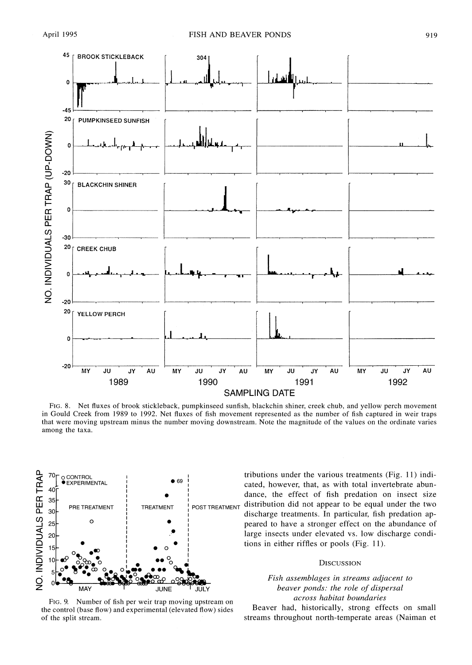

**FIG. 8. Net fluxes of brook stickleback, pumpkinseed sunfish, blackchin shiner, creek chub, and yellow perch movement in Gould Creek from 1989 to 1992. Net fluxes of fish movement represented as the number of fish captured in weir traps that were moving upstream minus the number moving downstream. Note the magnitude of the values on the ordinate varies among the taxa.** 



**FIG. 9. Number of fish per weir trap moving upstream on the control (base flow) and experimental (elevated flow) sides of the split stream.** 

**tributions under the various treatments (Fig. 11) indicated, however, that, as with total invertebrate abundance, the effect of fish predation on insect size distribution did not appear to be equal under the two discharge treatments. In particular, fish predation appeared to have a stronger effect on the abundance of large insects under elevated vs. low discharge conditions in either riffles or pools (Fig. 11).** 

#### **DISCUSSION**

**Fish assemblages in streams adjacent to beaver ponds: the role of dispersal across habitat boundaries** 

**Beaver had, historically, strong effects on small streams throughout north-temperate areas (Naiman et**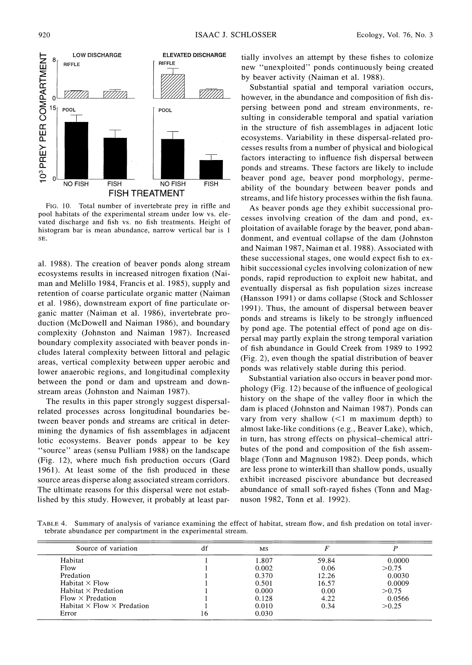

**FIG. 10. Total number of invertebrate prey in riffle and pool habitats of the experimental stream under low vs. elevated discharge and fish vs. no fish treatments. Height of histogram bar is mean abundance, narrow vertical bar is 1 SE.** 

**al. 1988). The creation of beaver ponds along stream ecosystems results in increased nitrogen fixation (Naiman and Melillo 1984, Francis et al. 1985), supply and retention of coarse particulate organic matter (Naiman et al. 1986), downstream export of fine particulate organic matter (Naiman et al. 1986), invertebrate production (McDowell and Naiman 1986), and boundary complexity (Johnston and Naiman 1987). Increased boundary complexity associated with beaver ponds includes lateral complexity between littoral and pelagic areas, vertical complexity between upper aerobic and lower anaerobic regions, and longitudinal complexity between the pond or dam and upstream and downstream areas (Johnston and Naiman 1987).** 

**The results in this paper strongly suggest dispersalrelated processes across longitudinal boundaries between beaver ponds and streams are critical in determining the dynamics of fish assemblages in adjacent lotic ecosystems. Beaver ponds appear to be key "source" areas (sensu Pulliam 1988) on the landscape (Fig. 12), where much fish production occurs (Gard 1961). At least some of the fish produced in these source areas disperse along associated stream corridors. The ultimate reasons for this dispersal were not established by this study. However, it probably at least par-** **tially involves an attempt by these fishes to colonize new "unexploited" ponds continuously being created by beaver activity (Naiman et al. 1988).** 

**Substantial spatial and temporal variation occurs, however, in the abundance and composition of fish dispersing between pond and stream environments, resulting in considerable temporal and spatial variation in the structure of fish assemblages in adjacent lotic ecosystems. Variability in these dispersal-related processes results from a number of physical and biological factors interacting to influence fish dispersal between ponds and streams. These factors are likely to include beaver pond age, beaver pond morphology, permeability of the boundary between beaver ponds and streams, and life history processes within the fish fauna.** 

**As beaver ponds age they exhibit successional processes involving creation of the dam and pond, exploitation of available forage by the beaver, pond abandonment, and eventual collapse of the dam (Johnston and Naiman 1987, Naiman et al. 1988). Associated with these successional stages, one would expect fish to exhibit successional cycles involving colonization of new ponds, rapid reproduction to exploit new habitat, and eventually dispersal as fish population sizes increase (Hansson 1991) or dams collapse (Stock and Schlosser 1991). Thus, the amount of dispersal between beaver ponds and streams is likely to be strongly influenced by pond age. The potential effect of pond age on dispersal may partly explain the strong temporal variation of fish abundance in Gould Creek from 1989 to 1992 (Fig. 2), even though the spatial distribution of beaver ponds was relatively stable during this period.** 

**Substantial variation also occurs in beaver pond morphology (Fig. 12) because of the influence of geological history on the shape of the valley floor in which the dam is placed (Johnston and Naiman 1987). Ponds can vary from very shallow (<1 m maximum depth) to almost lake-like conditions (e.g., Beaver Lake), which, in turn, has strong effects on physical-chemical attributes of the pond and composition of the fish assemblage (Tonn and Magnuson 1982). Deep ponds, which are less prone to winterkill than shallow ponds, usually exhibit increased piscivore abundance but decreased abundance of small soft-rayed fishes (Tonn and Magnuson 1982, Tonn et al. 1992).** 

**TABLE 4. Summary of analysis of variance examining the effect of habitat, stream flow, and fish predation on total invertebrate abundance per compartment in the experimental stream.** 

| Source of variation                      | MS    |       |        |
|------------------------------------------|-------|-------|--------|
| Habitat                                  | 1.807 | 59.84 | 0.0000 |
| Flow                                     | 0.002 | 0.06  | > 0.75 |
| Predation                                | 0.370 | 12.26 | 0.0030 |
| Habitat $\times$ Flow                    | 0.501 | 16.57 | 0.0009 |
| Habitat $\times$ Predation               | 0.000 | 0.00  | > 0.75 |
| $Flow \times Predation$                  | 0.128 | 4.22  | 0.0566 |
| Habitat $\times$ Flow $\times$ Predation | 0.010 | 0.34  | > 0.25 |
| Error                                    | 0.030 |       |        |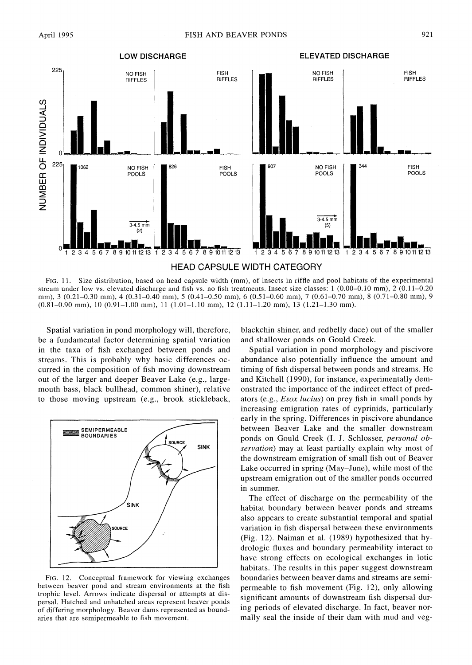

**FIG. 11. Size distribution, based on head capsule width (mm), of insects in riffle and pool habitats of the experimental stream under low vs. elevated discharge and fish vs. no fish treatments. Insect size classes: 1 (0.00-0.10 mm), 2 (0.11-0.20 mm), 3 (0.21-0.30 mm), 4 (0.31-0.40 mm), 5 (0.41-0.50 mm), 6 (0.51-0.60 mm), 7 (0.61-0.70 mm), 8 (0.71-0.80 mm), 9 (0.81-0.90 mm), 10 (0.91-1.00 mm), 11 (1.01-1.10 mm), 12 (1.11-1.20 mm), 13 (1.21-1.30 mm).** 

**Spatial variation in pond morphology will, therefore, be a fundamental factor determining spatial variation in the taxa of fish exchanged between ponds and streams. This is probably why basic differences occurred in the composition of fish moving downstream out of the larger and deeper Beaver Lake (e.g., largemouth bass, black bullhead, common shiner), relative to those moving upstream (e.g., brook stickleback,** 



**FIG. 12. Conceptual framework for viewing exchanges between beaver pond and stream environments at the fish trophic level. Arrows indicate dispersal or attempts at dispersal. Hatched and unhatched areas represent beaver ponds of differing morphology. Beaver dams represented as boundaries that are semipermeable to fish movement.** 

**blackchin shiner, and redbelly dace) out of the smaller and shallower ponds on Gould Creek.** 

**Spatial variation in pond morphology and piscivore abundance also potentially influence the amount and timing of fish dispersal between ponds and streams. He and Kitchell (1990), for instance, experimentally demonstrated the importance of the indirect effect of predators (e.g., Esox lucius) on prey fish in small ponds by increasing emigration rates of cyprinids, particularly early in the spring. Differences in piscivore abundance between Beaver Lake and the smaller downstream ponds on Gould Creek (I. J. Schlosser, personal observation) may at least partially explain why most of the downstream emigration of small fish out of Beaver Lake occurred in spring (May-June), while most of the upstream emigration out of the smaller ponds occurred in summer.** 

**The effect of discharge on the permeability of the habitat boundary between beaver ponds and streams also appears to create substantial temporal and spatial variation in fish dispersal between these environments (Fig. 12). Naiman et al. (1989) hypothesized that hydrologic fluxes and boundary permeability interact to have strong effects on ecological exchanges in lotic habitats. The results in this paper suggest downstream boundaries between beaver dams and streams are semipermeable to fish movement (Fig. 12), only allowing significant amounts of downstream fish dispersal during periods of elevated discharge. In fact, beaver normally seal the inside of their dam with mud and veg-**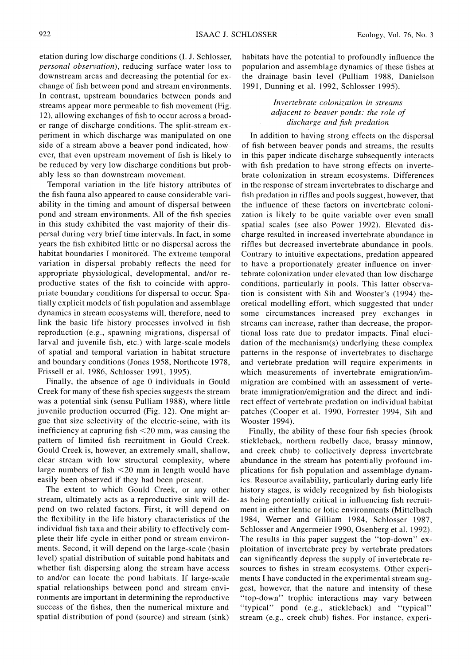**etation during low discharge conditions (I. J. Schlosser, personal observation), reducing surface water loss to downstream areas and decreasing the potential for exchange of fish between pond and stream environments. In contrast, upstream boundaries between ponds and streams appear more permeable to fish movement (Fig. 12), allowing exchanges of fish to occur across a broader range of discharge conditions. The split-stream experiment in which discharge was manipulated on one side of a stream above a beaver pond indicated, however, that even upstream movement of fish is likely to be reduced by very low discharge conditions but probably less so than downstream movement.** 

**Temporal variation in the life history attributes of the fish fauna also appeared to cause considerable variability in the timing and amount of dispersal between pond and stream environments. All of the fish species in this study exhibited the vast majority of their dispersal during very brief time intervals. In fact, in some years the fish exhibited little or no dispersal across the habitat boundaries I monitored. The extreme temporal variation in dispersal probably reflects the need for appropriate physiological, developmental, and/or reproductive states of the fish to coincide with appropriate boundary conditions for dispersal to occur. Spatially explicit models of fish population and assemblage dynamics in stream ecosystems will, therefore, need to link the basic life history processes involved in fish reproduction (e.g., spawning migrations, dispersal of larval and juvenile fish, etc.) with large-scale models of spatial and temporal variation in habitat structure and boundary conditions (Jones 1958, Northcote 1978, Frissell et al. 1986, Schlosser 1991, 1995).** 

**Finally, the absence of age 0 individuals in Gould Creek for many of these fish species suggests the stream was a potential sink (sensu Pulliam 1988), where little juvenile production occurred (Fig. 12). One might argue that size selectivity of the electric-seine, with its inefficiency at capturing fish <20 mm, was causing the pattern of limited fish recruitment in Gould Creek. Gould Creek is, however, an extremely small, shallow, clear stream with low structural complexity, where large numbers of fish <20 mm in length would have easily been observed if they had been present.** 

**The extent to which Gould Creek, or any other stream, ultimately acts as a reproductive sink will depend on two related factors. First, it will depend on the flexibility in the life history characteristics of the individual fish taxa and their ability to effectively complete their life cycle in either pond or stream environments. Second, it will depend on the large-scale (basin level) spatial distribution of suitable pond habitats and whether fish dispersing along the stream have access to and/or can locate the pond habitats. If large-scale spatial relationships between pond and stream environments are important in determining the reproductive success of the fishes, then the numerical mixture and spatial distribution of pond (source) and stream (sink)** 

**habitats have the potential to profoundly influence the population and assemblage dynamics of these fishes at the drainage basin level (Pulliam 1988, Danielson 1991, Dunning et al. 1992, Schlosser 1995).** 

# **Invertebrate colonization in streams adjacent to beaver ponds: the role of discharge and fish predation**

**In addition to having strong effects on the dispersal of fish between beaver ponds and streams, the results in this paper indicate discharge subsequently interacts with fish predation to have strong effects on invertebrate colonization in stream ecosystems. Differences in the response of stream invertebrates to discharge and fish predation in riffles and pools suggest, however, that the influence of these factors on invertebrate colonization is likely to be quite variable over even small spatial scales (see also Power 1992). Elevated discharge resulted in increased invertebrate abundance in riffles but decreased invertebrate abundance in pools. Contrary to intuitive expectations, predation appeared to have a proportionately greater influence on invertebrate colonization under elevated than low discharge conditions, particularly in pools. This latter observation is consistent with Sih and Wooster's (1994) theoretical modelling effort, which suggested that under some circumstances increased prey exchanges in streams can increase, rather than decrease, the proportional loss rate due to predator impacts. Final eluci**dation of the mechanism(s) underlying these complex **patterns in the response of invertebrates to discharge and vertebrate predation will require experiments in which measurements of invertebrate emigration/immigration are combined with an assessment of vertebrate immigration/emigration and the direct and indirect effect of vertebrate predation on individual habitat patches (Cooper et al. 1990, Forrester 1994, Sih and Wooster 1994).** 

**Finally, the ability of these four fish species (brook stickleback, northern redbelly dace, brassy minnow, and creek chub) to collectively depress invertebrate abundance in the stream has potentially profound implications for fish population and assemblage dynamics. Resource availability, particularly during early life history stages, is widely recognized by fish biologists as being potentially critical in influencing fish recruitment in either lentic or lotic environments (Mittelbach 1984, Werner and Gilliam 1984, Schlosser 1987, Schlosser and Angermeier 1990, Osenberg et al. 1992). The results in this paper suggest the "top-down" exploitation of invertebrate prey by vertebrate predators can significantly depress the supply of invertebrate resources to fishes in stream ecosystems. Other experiments I have conducted in the experimental stream suggest, however, that the nature and intensity of these "top-down" trophic interactions may vary between "typical" pond (e.g., stickleback) and "typical" stream (e.g., creek chub) fishes. For instance, experi-**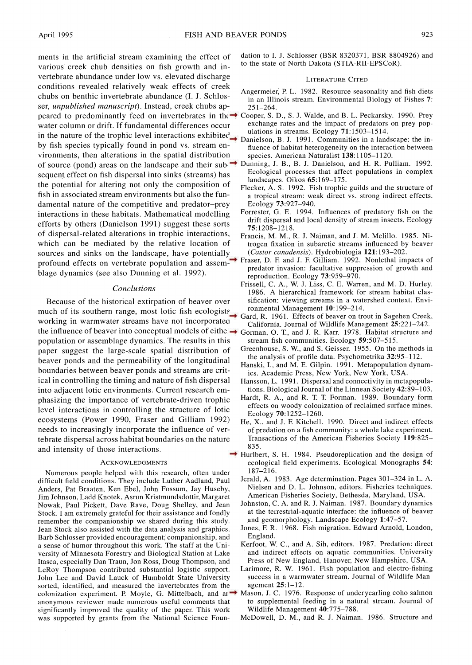**ments in the artificial stream examining the effect of various creek chub densities on fish growth and invertebrate abundance under low vs. elevated discharge conditions revealed relatively weak effects of creek chubs on benthic invertebrate abundance (I. J. Schlosser, unpublished manuscript). Instead, creek chubs appeared to predominantly feed on invertebrates in the Cooper, S. D., S. J. Walde, and B. L. Peckarsky. 1990. Prey water column or drift. If fundamental differences occur**  in the nature of the trophic level interactions exhibited ulations in streams. Ecology 71:1503-1514. **by fish species typically found in pond vs. stream environments, then alterations in the spatial distribution of source (pond) areas on the landscape and their sub-Dunning, J. B., B. J. Danielson, and H. R. Pulliam. 1992. sequent effect on fish dispersal into sinks (streams) has the potential for altering not only the composition of fish in associated stream environments but also the fundamental nature of the competitive and predator-prey interactions in these habitats. Mathematical modelling efforts by others (Danielson 1991) suggest these sorts of dispersal-related alterations in trophic interactions, which can be mediated by the relative location of sources and sinks on the landscape, have potentially profound effects on vertebrate population and assem-Fraser, D. F and J. F Gilliam. 1992. Nonlethal impacts of blage dynamics (see also Dunning et al. 1992).** 

#### **Conclusions**

**Because of the historical extirpation of beaver over much of its southern range, most lotic fish ecologists working in warmwater streams have not incorporated**  the influence of beaver into conceptual models of eithe  $\rightarrow$  Gorman, O. T., and J. R. Karr. 1978. Habitat structure and **population or assemblage dynamics. The results in this paper suggest the large-scale spatial distribution of beaver ponds and the permeability of the longitudinal boundaries between beaver ponds and streams are critical in controlling the timing and nature of fish dispersal into adjacent lotic environments. Current research emphasizing the importance of vertebrate-driven trophic level interactions in controlling the structure of lotic ecosystems (Power 1990, Fraser and Gilliam 1992) needs to increasingly incorporate the influence of vertebrate dispersal across habitat boundaries on the nature and intensity of those interactions.** 

#### **ACKNOWLEDGMENTS**

**Numerous people helped with this research, often under difficult field conditions. They include Luther Aadland, Paul Anders, Pat Braaten, Ken Ebel, John Fossum, Jay Huseby, Jim Johnson, Ladd Knotek, Asrun Kristmundsdottir, Margaret Nowak, Paul Pickett, Dave Rave, Doug Shelley, and Jean Stock. I am extremely grateful for their assistance and fondly remember the companionship we shared during this study. Jean Stock also assisted with the data analysis and graphics. Barb Schlosser provided encouragement; companionship, and a sense of humor throughout this work. The staff at the University of Minnesota Forestry and Biological Station at Lake Itasca, especially Dan Traun, Jon Ross, Doug Thompson, and LeRoy Thompson contributed substantial logistic support. John Lee and David Lauck of Humboldt State University sorted, identified, and measured the invertebrates from the anonymous reviewer made numerous useful comments that significantly improved the quality of the paper. This work was supported by grants from the National Science Foun-** **dation to I. J. Schlosser (BSR 8320371, BSR 8804926) and to the state of North Dakota (STIA-RII-EPSCoR).** 

#### **LITERATURE CITED**

- **Angermeier, P. L. 1982. Resource seasonality and fish diets in an Illinois stream. Environmental Biology of Fishes 7: 251-264.**
- exchange rates and the impact of predators on prey populations in streams. Ecology **71**:1503–1514.
- **Danielson, B. J. 1991. Communities in a landscape: the influence of habitat heterogeneity on the interaction between species. American Naturalist 138:1105-1120.**
- **Ecological processes that affect populations in complex landscapes. Oikos 65:169-175.**
- **Flecker, A. S. 1992. Fish trophic guilds and the structure of a tropical stream: weak direct vs. strong indirect effects. Ecology 73:927-940.**
- **Forrester, G. E. 1994. Influences of predatory fish on the drift dispersal and local density of stream insects. Ecology 75:1208-1218.**
- **Francis, M. M., R. J. Naiman, and J. M. Melillo. 1985. Nitrogen fixation in subarctic streams influenced by beaver (Castor canadensis). Hydrobiologia 121:193-202.**
- **predator invasion: facultative suppression of growth and reproduction. Ecology 73:959-970.**
- **Frissell, C. A., W. J. Liss, C. E. Warren, and M. D. Hurley. 1986. A hierarchical framework for stream habitat classification: viewing streams in a watershed context. Environmental Management 10:199-214.**
- **Gard, R. 1961. Effects of beaver on trout in Sagehen Creek, California. Journal of Wildlife Management 25:221-242.**
- **stream fish communities. Ecology 59:507-515.**
- **Greenhouse, S. W., and S. Geisser. 1955. On the methods in the analysis of profile data. Psychometrika 32:95-112.**
- **Hanski, I., and M. E. Gilpin. 1991. Metapopulation dynamics. Academic Press, New York, New York, USA.**
- **Hansson, L. 1991. Dispersal and connectivity in metapopulations. Biological Journal of the Linnean Society 42:89-103.**
- **Hardt, R. A., and R. T. T. Forman. 1989. Boundary form effects on woody colonization of reclaimed surface mines. Ecology 70:1252-1260.**
- **He, X., and J. F Kitchell. 1990. Direct and indirect effects of predation on a fish community: a whole lake experiment. Transactions of the American Fisheries Society 119:825- 835.**
- **Hurlbert, S. H. 1984. Pseudoreplication and the design of ecological field experiments. Ecological Monographs 54: 187-216.** 
	- **Jerald, A. 1983. Age determination. Pages 301-324 in L. A. Nielsen and D. L. Johnson, editors. Fisheries techniques. American Fisheries Society, Bethesda, Maryland, USA.**
	- **Johnston, C. A. and R. J. Naiman. 1987. Boundary dynamics at the terrestrial-aquatic interface: the influence of beaver and geomorphology. Landscape Ecology 1:47-57.**
	- **Jones, F R. 1968. Fish migration. Edward Arnold, London, England.**
	- **Kerfoot, W. C., and A. Sih, editors. 1987. Predation: direct and indirect effects on aquatic communities. University Press of New England, Hanover, New Hampshire, USA.**
	- **Larimore, R. W. 1961. Fish population and electro-fishing success in a warmwater stream. Journal of Wildlife Management 25: 1-12.**
- **colonization experiment. P Moyle, G. Mittelbach, and an Mason, J. C. 1976. Response of underyearling coho salmon to supplemental feeding in a natural stream. Journal of Wildlife Management 40:775-788.** 
	- **McDowell, D. M., and R. J. Naiman. 1986. Structure and**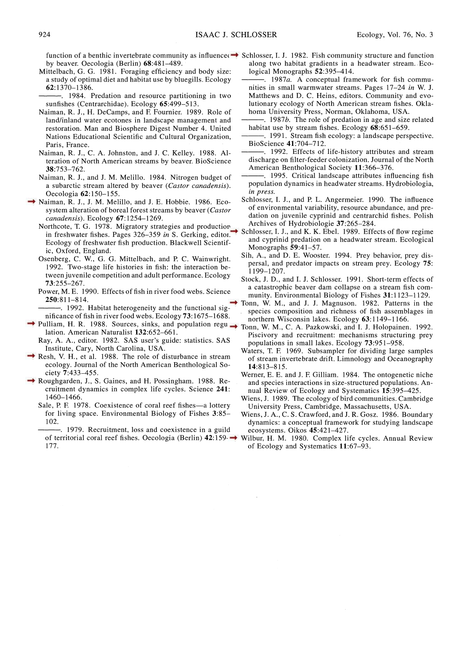- **Mittelbach, G. G. 1981. Foraging efficiency and body size: a study of optimal diet and habitat use by bluegills. Ecology 62:1370-1386.**
- **. 1984. Predation and resource partitioning in two sunfishes (Centrarchidae). Ecology 65:499-513.**
- **Naiman, R. J., H. DeCamps, and E Fournier. 1989. Role of land/inland water ecotones in landscape management and restoration. Man and Biosphere Digest Number 4. United Nations Educational Scientific and Cultural Organization, Paris, France.**
- **Naiman, R. J., C. A. Johnston, and J. C. Kelley. 1988. Alteration of North American streams by beaver. BioScience 38:753-762.**
- **Naiman, R. J., and J. M. Melillo. 1984. Nitrogen budget of a subarctic stream altered by beaver (Castor canadensis). Oecologia 62:150-155.**
- **Naiman, R. J., J. M. Melillo, and J. E. Hobbie. 1986. Ecosystem alteration of boreal forest streams by beaver (Castor canadensis). Ecology 67:1254-1269.** 
	- **Northcote, T. G. 1978. Migratory strategies and production in freshwater fishes. Pages 326-359 in S. Gerking, editor. Ecology of freshwater fish production. Blackwell Scientific, Oxford, England.**
- **Osenberg, C. W., G. G. Mittelbach, and P. C. Wainwright. 1992. Two-stage life histories in fish: the interaction between juvenile competition and adult performance. Ecology 73:255-267.**
- **Power, M. E. 1990. Effects of fish in river food webs. Science 250:811-814.** 
	- **. 1992. Habitat heterogeneity and the functional significance of fish in river food webs. Ecology 73:1675-1688.**
- **Pulliam, H. R. 1988. Sources, sinks, and population regu-Tonn, W. M., C. A. Pazkowski, and I. J. Holopainen. 1992. lation. American Naturalist 132:652-661. Ray, A. A., editor. 1982. SAS user's guide: statistics. SAS** 
	- **Institute, Cary, North Carolina, USA.**
- **Resh, V. H., et al. 1988. The role of disturbance in stream ecology. Journal of the North American Benthological Society 7:433-455.**
- **Roughgarden, J., S. Gaines, and H. Possingham. 1988. Recruitment dynamics in complex life cycles. Science 241: 1460-1466.** 
	- Sale, P. F. 1978. Coexistence of coral reef fishes—a lottery **for living space. Environmental Biology of Fishes 3:85- 102.**
	- **. 1979. Recruitment, loss and coexistence in a guild 177.**
- **function of a benthic invertebrate community as influenced Schlosser, I. J. 1982. Fish community structure and function along two habitat gradients in a headwater stream.. Ecological Monographs 52:395-414.** 
	- **. 1987a. A conceptual framework for fish communities in small warmwater streams. Pages 17-24 in W. J. Matthews and D. C. Heins, editors. Community and evolutionary ecology of North American stream fishes. Oklahoma University Press, Norman, Oklahoma, USA.**

**. 1987b. The role of predation in age and size related habitat use by stream fishes. Ecology 68:651-659.** 

- **. 1991. Stream fish ecology: a landscape perspective. BioScience 41:704-712.**
- **. 1992. Effects of life-history attributes and stream discharge on filter-feeder colonization. Journal of the North American Benthological Society 11:366-376.**
- **. 1995. Critical landscape attributes influencing fish population dynamics in headwater streams. Hydrobiologia, in press.**
- **Schlosser, I. J., and P. L. Angermeier. 1990. The influence of environmental variability, resource abundance, and predation on juvenile cyprinid and centrarchid fishes. Polish Archives of Hydrobiologie 37:265-284.**
- **Schlosser, I. J., and K. K. Ebel. 1989. Effects of flow regime and cyprinid predation on a headwater stream. Ecological Monographs 59:41-57.** 
	- **Sih, A., and D. E. Wooster. 1994. Prey behavior, prey dispersal, and predator impacts on stream prey. Ecology 75: 1199-1207.**
	- **Stock, J. D., and I. J. Schlosser. 1991. Short-term effects of a catastrophic beaver dam collapse on a stream fish community. Environmental Biology of Fishes 31:1123-1129.**
	- **Tonn, W. M., and J. J. Magnuson. 1982. Patterns in the species composition and richness of fish assemblages in northern Wisconsin lakes. Ecology 63:1149-1166.**
	- **Piscivory and recruitment: mechanisms structuring prey populations in small lakes. Ecology 73:951-958.**
	- **Waters, T. E 1969. Subsampler for dividing large samples of stream invertebrate drift. Limnology and Oceanography 14:813-815.**
	- **Werner, E. E. and J. E Gilliam. 1984. The ontogenetic niche and species interactions in size-structured populations. Annual Review of Ecology and Systematics 15:395-425.**
	- **Wiens, J. 1989. The ecology of bird communities. Cambridge University Press, Cambridge, Massachusetts, USA.**
	- **Wiens, J. A., C. S. Crawford, and J. R. Gosz. 1986. Boundary dynamics: a conceptual framework for studying landscape ecosystems. Oikos 45:421-427.**
- **of territorial coral reef fishes. Oecologia (Berlin) 42:159- Wilbur, H. M. 1980. Complex life cycles. Annual Review of Ecology and Systematics 11:67-93.**